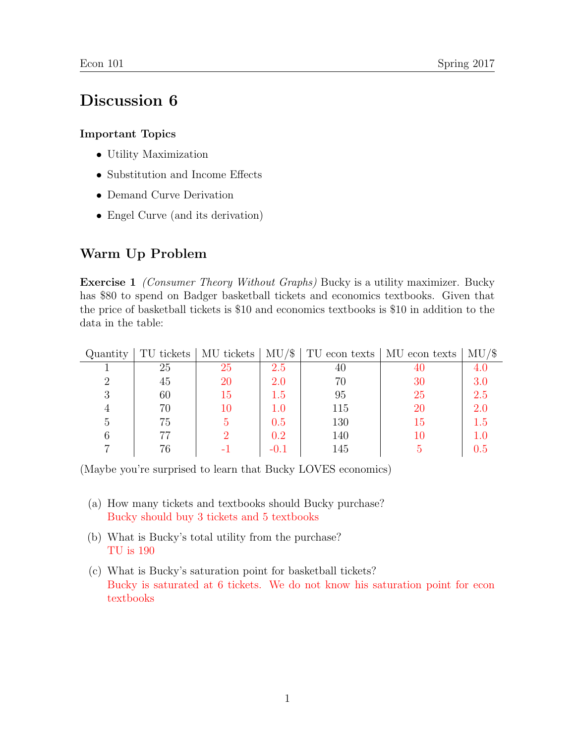## Discussion 6

## Important Topics

- Utility Maximization
- Substitution and Income Effects
- Demand Curve Derivation
- Engel Curve (and its derivation)

## Warm Up Problem

**Exercise 1** *(Consumer Theory Without Graphs)* Bucky is a utility maximizer. Bucky has \$80 to spend on Badger basketball tickets and economics textbooks. Given that the price of basketball tickets is \$10 and economics textbooks is \$10 in addition to the data in the table:

| Quantity |    | TU tickets   MU tickets | $\vert$ MU/\$ |     | TU econ texts   MU econ texts | $MU/\$$ |
|----------|----|-------------------------|---------------|-----|-------------------------------|---------|
|          | 25 | 25                      | 2.5           | 40  | 40                            |         |
|          | 45 | 20                      | 2.0           | 70  | 30                            | 3.0     |
| 3        | 60 | 15                      | 1.5           | 95  | 25                            | 2.5     |
| 4        | 70 | 10                      |               | 115 | 20                            | 2.0     |
| 5        | 75 |                         | 0.5           | 130 | Тħ                            | 1.5     |
|          | 77 |                         | 0.2           | 140 |                               |         |
|          | 76 |                         |               | 145 |                               |         |

(Maybe you're surprised to learn that Bucky LOVES economics)

- (a) How many tickets and textbooks should Bucky purchase? Bucky should buy 3 tickets and 5 textbooks
- (b) What is Bucky's total utility from the purchase? TU is 190
- (c) What is Bucky's saturation point for basketball tickets? Bucky is saturated at 6 tickets. We do not know his saturation point for econ textbooks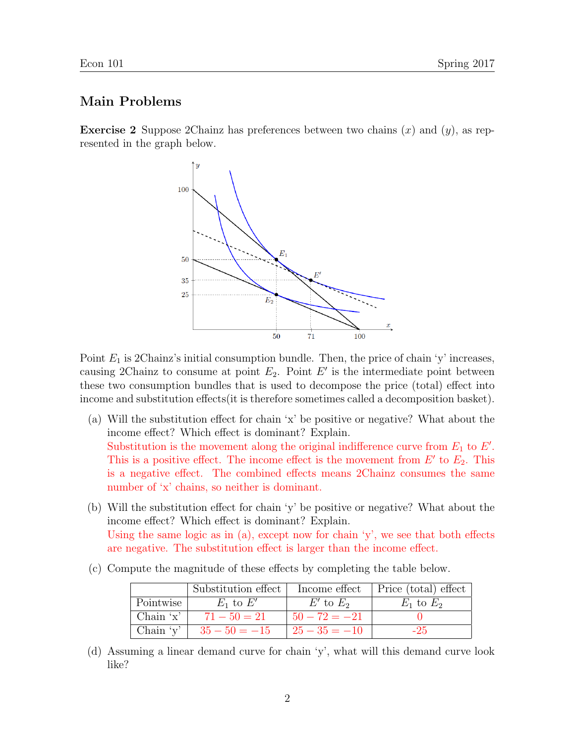## Main Problems

**Exercise 2** Suppose 2Chainz has preferences between two chains  $(x)$  and  $(y)$ , as represented in the graph below.



Point  $E_1$  is 2Chainz's initial consumption bundle. Then, the price of chain 'y' increases, causing 2Chainz to consume at point  $E_2$ . Point E' is the intermediate point between these two consumption bundles that is used to decompose the price (total) effect into income and substitution effects(it is therefore sometimes called a decomposition basket).

- (a) Will the substitution effect for chain 'x' be positive or negative? What about the income effect? Which effect is dominant? Explain. Substitution is the movement along the original indifference curve from  $E_1$  to  $E'$ . This is a positive effect. The income effect is the movement from  $E'$  to  $E_2$ . This is a negative effect. The combined effects means 2Chainz consumes the same number of 'x' chains, so neither is dominant.
- (b) Will the substitution effect for chain 'y' be positive or negative? What about the income effect? Which effect is dominant? Explain. Using the same logic as in  $(a)$ , except now for chain 'y', we see that both effects are negative. The substitution effect is larger than the income effect.
- (c) Compute the magnitude of these effects by completing the table below.

|            | Substitution effect         |                  | Income effect   Price (total) effect |
|------------|-----------------------------|------------------|--------------------------------------|
| Pointwise  | $E_1$ to $E'$               | $E'$ to $E_2$    | $E_1$ to $E_2$                       |
| Chain $x'$ | $71 - 50 = 21$              | $50 - 72 = -21$  |                                      |
|            | Chain 'y' $  35 - 50 = -15$ | $125 - 35 = -10$ | $-25$                                |

(d) Assuming a linear demand curve for chain 'y', what will this demand curve look like?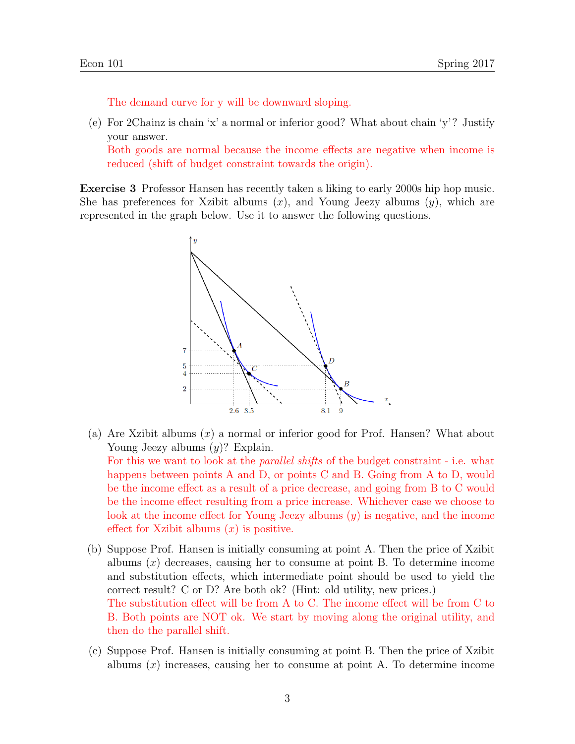The demand curve for y will be downward sloping.

(e) For 2Chainz is chain 'x' a normal or inferior good? What about chain 'y'? Justify your answer.

Both goods are normal because the income effects are negative when income is reduced (shift of budget constraint towards the origin).

Exercise 3 Professor Hansen has recently taken a liking to early 2000s hip hop music. She has preferences for Xzibit albums  $(x)$ , and Young Jeezy albums  $(y)$ , which are represented in the graph below. Use it to answer the following questions.



- (a) Are Xzibit albums  $(x)$  a normal or inferior good for Prof. Hansen? What about Young Jeezy albums  $(y)$ ? Explain. For this we want to look at the parallel shifts of the budget constraint - i.e. what happens between points A and D, or points C and B. Going from A to D, would be the income effect as a result of a price decrease, and going from B to C would be the income effect resulting from a price increase. Whichever case we choose to look at the income effect for Young Jeezy albums (y) is negative, and the income effect for Xzibit albums  $(x)$  is positive.
- (b) Suppose Prof. Hansen is initially consuming at point A. Then the price of Xzibit albums  $(x)$  decreases, causing her to consume at point B. To determine income and substitution effects, which intermediate point should be used to yield the correct result? C or D? Are both ok? (Hint: old utility, new prices.) The substitution effect will be from A to C. The income effect will be from C to B. Both points are NOT ok. We start by moving along the original utility, and then do the parallel shift.
- (c) Suppose Prof. Hansen is initially consuming at point B. Then the price of Xzibit albums  $(x)$  increases, causing her to consume at point A. To determine income